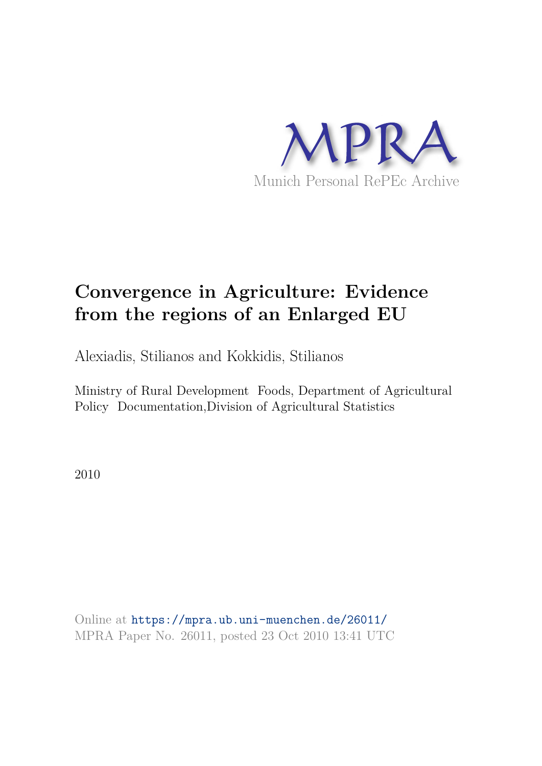

# **Convergence in Agriculture: Evidence from the regions of an Enlarged EU**

Alexiadis, Stilianos and Kokkidis, Stilianos

Ministry of Rural Development Foods, Department of Agricultural Policy Documentation,Division of Agricultural Statistics

2010

Online at https://mpra.ub.uni-muenchen.de/26011/ MPRA Paper No. 26011, posted 23 Oct 2010 13:41 UTC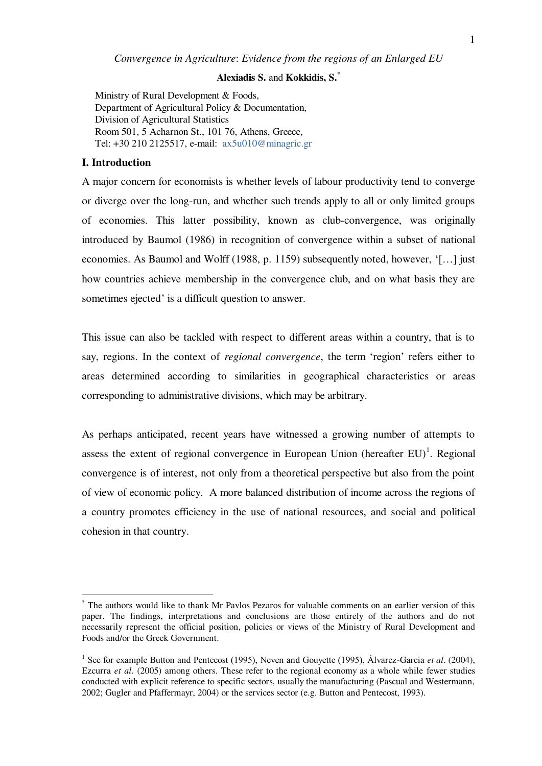*Convergence in Agriculture*: *Evidence from the regions of an Enlarged EU*

#### **Alexiadis S.** and **Kokkidis, S.\***

 Ministry of Rural Development & Foods, Department of Agricultural Policy & Documentation, Division of Agricultural Statistics Room 501, 5 Acharnon St., 101 76, Athens, Greece, Tel: +30 210 2125517, e-mail: [ax5u010@minagric.gr](mailto:salexiadis7@aim.com)

#### **I. Introduction**

-

A major concern for economists is whether levels of labour productivity tend to converge or diverge over the long-run, and whether such trends apply to all or only limited groups of economies. This latter possibility, known as club-convergence, was originally introduced by Baumol (1986) in recognition of convergence within a subset of national economies. As Baumol and Wolff (1988, p. 1159) subsequently noted, however, "[…] just how countries achieve membership in the convergence club, and on what basis they are sometimes ejected' is a difficult question to answer.

This issue can also be tackled with respect to different areas within a country, that is to say, regions. In the context of *regional convergence*, the term "region" refers either to areas determined according to similarities in geographical characteristics or areas corresponding to administrative divisions, which may be arbitrary.

As perhaps anticipated, recent years have witnessed a growing number of attempts to assess the extent of regional convergence in European Union (hereafter  $EU$ )<sup>1</sup>. Regional convergence is of interest, not only from a theoretical perspective but also from the point of view of economic policy. A more balanced distribution of income across the regions of a country promotes efficiency in the use of national resources, and social and political cohesion in that country.

<sup>\*</sup> The authors would like to thank Mr Pavlos Pezaros for valuable comments on an earlier version of this paper. The findings, interpretations and conclusions are those entirely of the authors and do not necessarily represent the official position, policies or views of the Ministry of Rural Development and Foods and/or the Greek Government.

<sup>&</sup>lt;sup>1</sup> See for example Button and Pentecost (1995), Neven and Gouyette (1995), Álvarez-Garcia et al. (2004), Ezcurra *et al*. (2005) among others. These refer to the regional economy as a whole while fewer studies conducted with explicit reference to specific sectors, usually the manufacturing (Pascual and Westermann, 2002; Gugler and Pfaffermayr, 2004) or the services sector (e.g. Button and Pentecost, 1993).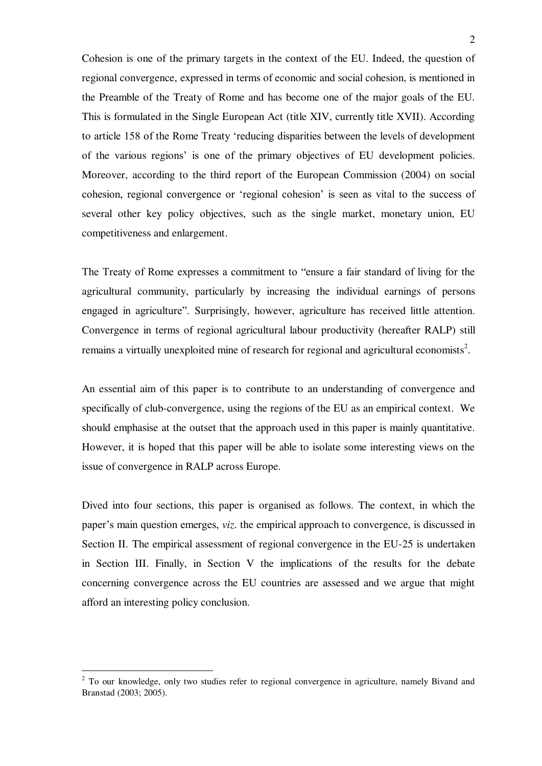Cohesion is one of the primary targets in the context of the EU. Indeed, the question of regional convergence, expressed in terms of economic and social cohesion, is mentioned in the Preamble of the Treaty of Rome and has become one of the major goals of the EU. This is formulated in the Single European Act (title XIV, currently title XVII). According to article 158 of the Rome Treaty "reducing disparities between the levels of development of the various regions" is one of the primary objectives of EU development policies. Moreover, according to the third report of the European Commission (2004) on social cohesion, regional convergence or "regional cohesion" is seen as vital to the success of several other key policy objectives, such as the single market, monetary union, EU competitiveness and enlargement.

The Treaty of Rome expresses a commitment to "ensure a fair standard of living for the agricultural community, particularly by increasing the individual earnings of persons engaged in agriculture". Surprisingly, however, agriculture has received little attention. Convergence in terms of regional agricultural labour productivity (hereafter RALP) still remains a virtually unexploited mine of research for regional and agricultural economists<sup>2</sup>.

An essential aim of this paper is to contribute to an understanding of convergence and specifically of club-convergence, using the regions of the EU as an empirical context. We should emphasise at the outset that the approach used in this paper is mainly quantitative. However, it is hoped that this paper will be able to isolate some interesting views on the issue of convergence in RALP across Europe.

Dived into four sections, this paper is organised as follows. The context, in which the paper"s main question emerges, *viz*. the empirical approach to convergence, is discussed in Section II. The empirical assessment of regional convergence in the EU-25 is undertaken in Section III. Finally, in Section V the implications of the results for the debate concerning convergence across the EU countries are assessed and we argue that might afford an interesting policy conclusion.

-

<sup>&</sup>lt;sup>2</sup> To our knowledge, only two studies refer to regional convergence in agriculture, namely Bivand and Branstad (2003; 2005).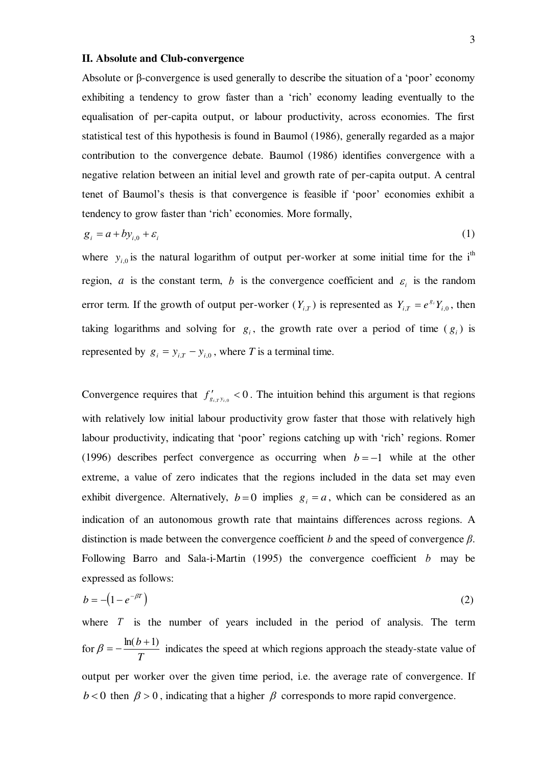#### **II. Absolute and Club-convergence**

Absolute or β-convergence is used generally to describe the situation of a "poor" economy exhibiting a tendency to grow faster than a "rich" economy leading eventually to the equalisation of per-capita output, or labour productivity, across economies. The first statistical test of this hypothesis is found in Baumol (1986), generally regarded as a major contribution to the convergence debate. Baumol (1986) identifies convergence with a negative relation between an initial level and growth rate of per-capita output. A central tenet of Baumol"s thesis is that convergence is feasible if "poor" economies exhibit a tendency to grow faster than "rich" economies. More formally,

$$
g_i = a + by_{i,0} + \varepsilon_i \tag{1}
$$

where  $y_{i,0}$  is the natural logarithm of output per-worker at some initial time for the i<sup>th</sup> region, *a* is the constant term, *b* is the convergence coefficient and  $\varepsilon$  is the random error term. If the growth of output per-worker  $(Y_{i,T})$  is represented as  $Y_{i,T} = e^{g_i} Y_{i,0}$  $Y_{i,T} = e^{g_i} Y_{i,0}$ , then taking logarithms and solving for  $g_i$ , the growth rate over a period of time  $(g_i)$  is represented by  $g_i = y_{i,T} - y_{i,0}$ , where *T* is a terminal time.

Convergence requires that  $f'_{g_{i,T}y_{i,0}} < 0$ . The intuition behind this argument is that regions with relatively low initial labour productivity grow faster that those with relatively high labour productivity, indicating that 'poor' regions catching up with 'rich' regions. Romer (1996) describes perfect convergence as occurring when  $b = -1$  while at the other extreme, a value of zero indicates that the regions included in the data set may even exhibit divergence. Alternatively,  $b = 0$  implies  $g_i = a$ , which can be considered as an indication of an autonomous growth rate that maintains differences across regions. A distinction is made between the convergence coefficient *b* and the speed of convergence *β*. Following Barro and Sala-i-Martin (1995) the convergence coefficient *b* may be expressed as follows:

$$
b = -\left(1 - e^{-\beta T}\right) \tag{2}
$$

where  $T$  is the number of years included in the period of analysis. The term for *T*  $\beta = -\frac{\ln(b+1)}{T}$  indicates the speed at which regions approach the steady-state value of output per worker over the given time period, i.e. the average rate of convergence. If  $b < 0$  then  $\beta > 0$ , indicating that a higher  $\beta$  corresponds to more rapid convergence.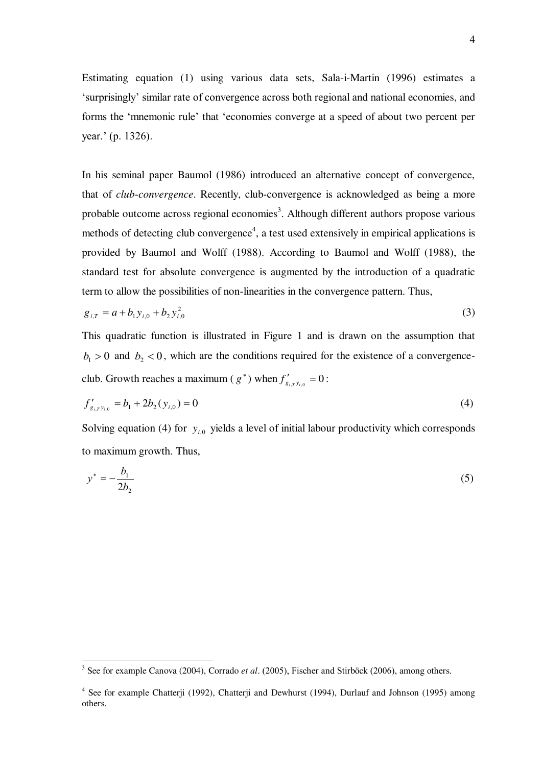Estimating equation (1) using various data sets, Sala-i-Martin (1996) estimates a "surprisingly" similar rate of convergence across both regional and national economies, and forms the "mnemonic rule" that "economies converge at a speed of about two percent per year.' (p. 1326).

In his seminal paper Baumol (1986) introduced an alternative concept of convergence, that of *club*-*convergence*. Recently, club-convergence is acknowledged as being a more probable outcome across regional economies<sup>3</sup>. Although different authors propose various methods of detecting club convergence<sup>4</sup>, a test used extensively in empirical applications is provided by Baumol and Wolff (1988). According to Baumol and Wolff (1988), the standard test for absolute convergence is augmented by the introduction of a quadratic term to allow the possibilities of non-linearities in the convergence pattern. Thus,

$$
g_{i,T} = a + b_1 y_{i,0} + b_2 y_{i,0}^2
$$
 (3)

This quadratic function is illustrated in Figure 1 and is drawn on the assumption that  $b_1 > 0$  and  $b_2 < 0$ , which are the conditions required for the existence of a convergenceclub. Growth reaches a maximum ( $g^*$ ) when  $f'_{g_{i,T}y_{i,0}} = 0$ :

$$
f'_{g_{i,T}y_{i,0}} = b_1 + 2b_2(y_{i,0}) = 0
$$
\n<sup>(4)</sup>

Solving equation (4) for  $y_{i,0}$  yields a level of initial labour productivity which corresponds to maximum growth. Thus,

$$
y^* = -\frac{b_1}{2b_2} \tag{5}
$$

 3 See for example Canova (2004), Corrado *et al*. (2005), Fischer and Stirböck (2006), among others.

<sup>&</sup>lt;sup>4</sup> See for example Chatterji (1992), Chatterji and Dewhurst (1994), Durlauf and Johnson (1995) among others.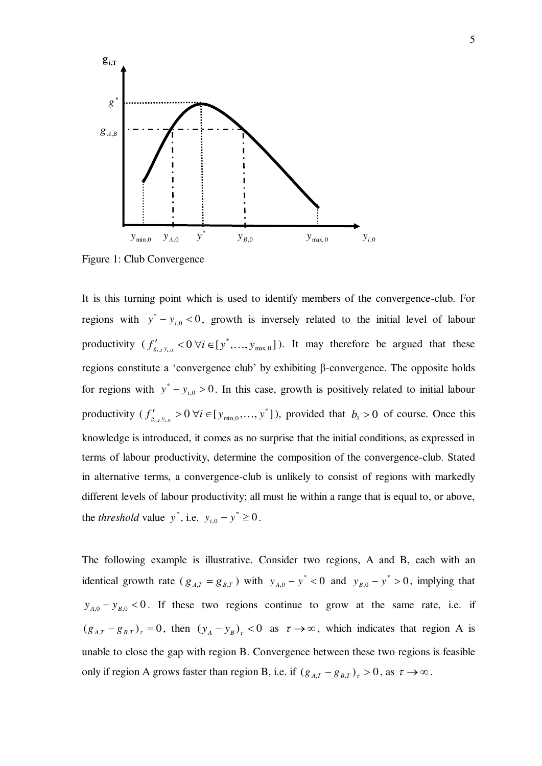

Figure 1: Club Convergence

It is this turning point which is used to identify members of the convergence-club. For regions with  $y^* - y_{i,0} < 0$ , growth is inversely related to the initial level of labour productivity  $(f'_{g_{i}, y_{i,0}} < 0 \,\forall i \in [y^*,..., y_{max,0}]$  $f'_{g_{i,T}y_{i,0}} < 0 \,\forall i \in [y^*,..., y_{max,0}]$ ). It may therefore be argued that these regions constitute a "convergence club" by exhibiting β-convergence. The opposite holds for regions with  $y^* - y_{i,0} > 0$ . In this case, growth is positively related to initial labour productivity  $(f'_{g_{i\pi y_{i0}}} > 0 \,\forall i \in [y_{\min,0},..., y^{\ast}]$  $f'_{g_{i,T}y_{i,0}} > 0 \,\forall i \in [y_{\min,0},..., y^*]$ ), provided that  $b_1 > 0$  of course. Once this knowledge is introduced, it comes as no surprise that the initial conditions, as expressed in terms of labour productivity, determine the composition of the convergence-club. Stated in alternative terms, a convergence-club is unlikely to consist of regions with markedly different levels of labour productivity; all must lie within a range that is equal to, or above, the *threshold* value  $y^*$ , i.e.  $y_{i,0} - y^* \ge 0$ .

The following example is illustrative. Consider two regions, A and B, each with an identical growth rate ( $g_{A,T} = g_{B,T}$ ) with  $y_{A,0} - y^* < 0$  and  $y_{B,0} - y^* > 0$ , implying that  $y_{A,0} - y_{B,0} < 0$ . If these two regions continue to grow at the same rate, i.e. if  $(g_{A,T} - g_{B,T})_{\tau} = 0$ , then  $(y_A - y_B)_{\tau} < 0$  as  $\tau \to \infty$ , which indicates that region A is unable to close the gap with region B. Convergence between these two regions is feasible only if region A grows faster than region B, i.e. if  $(g_{A,T} - g_{B,T})_{\tau} > 0$ , as  $\tau \to \infty$ .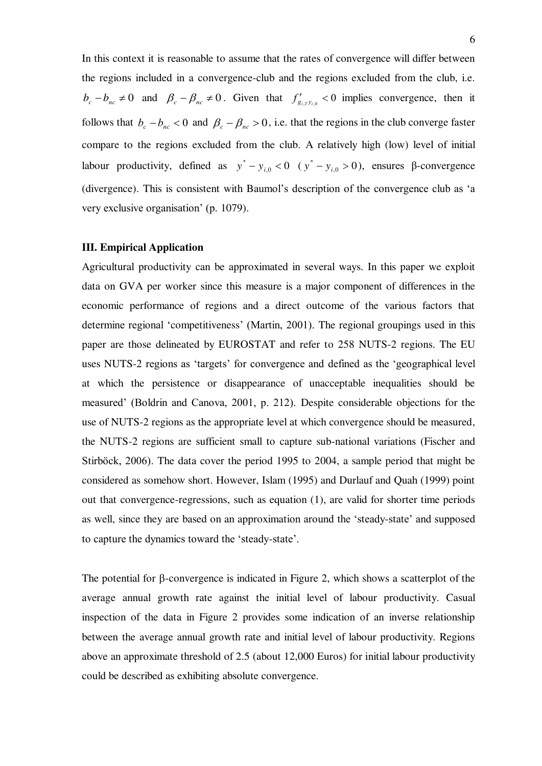In this context it is reasonable to assume that the rates of convergence will differ between the regions included in a convergence-club and the regions excluded from the club, i.e.  $b_c - b_{nc} \neq 0$  and  $\beta_c - \beta_{nc} \neq 0$ . Given that  $f'_{g_i, y_i, o} < 0$  implies convergence, then it follows that  $b_c - b_{nc} < 0$  and  $\beta_c - \beta_{nc} > 0$ , i.e. that the regions in the club converge faster compare to the regions excluded from the club. A relatively high (low) level of initial labour productivity, defined as  $y^* - y_{i,0} < 0$  ( $y^* - y_{i,0} > 0$ ), ensures β-convergence (divergence). This is consistent with Baumol"s description of the convergence club as "a very exclusive organisation' (p. 1079).

#### **III. Empirical Application**

Agricultural productivity can be approximated in several ways. In this paper we exploit data on GVA per worker since this measure is a major component of differences in the economic performance of regions and a direct outcome of the various factors that determine regional 'competitiveness' (Martin, 2001). The regional groupings used in this paper are those delineated by EUROSTAT and refer to 258 NUTS-2 regions. The EU uses NUTS-2 regions as "targets" for convergence and defined as the "geographical level at which the persistence or disappearance of unacceptable inequalities should be measured" (Boldrin and Canova, 2001, p. 212). Despite considerable objections for the use of NUTS-2 regions as the appropriate level at which convergence should be measured, the NUTS-2 regions are sufficient small to capture sub-national variations (Fischer and Stirböck, 2006). The data cover the period 1995 to 2004, a sample period that might be considered as somehow short. However, Islam (1995) and Durlauf and Quah (1999) point out that convergence-regressions, such as equation (1), are valid for shorter time periods as well, since they are based on an approximation around the "steady-state" and supposed to capture the dynamics toward the "steady-state".

The potential for  $\beta$ -convergence is indicated in Figure 2, which shows a scatterplot of the average annual growth rate against the initial level of labour productivity. Casual inspection of the data in Figure 2 provides some indication of an inverse relationship between the average annual growth rate and initial level of labour productivity. Regions above an approximate threshold of 2.5 (about 12,000 Euros) for initial labour productivity could be described as exhibiting absolute convergence.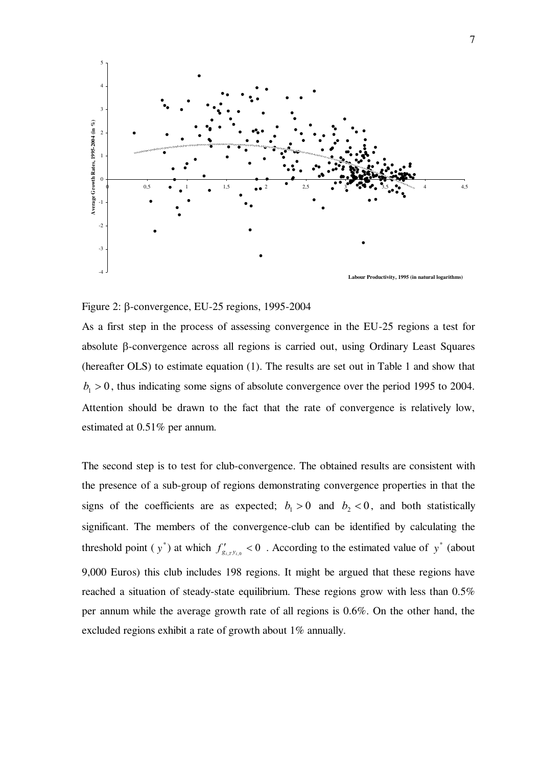

### Figure 2:  $\beta$ -convergence, EU-25 regions, 1995-2004

As a first step in the process of assessing convergence in the EU-25 regions a test for absolute  $\beta$ -convergence across all regions is carried out, using Ordinary Least Squares (hereafter OLS) to estimate equation (1). The results are set out in Table 1 and show that  $b<sub>1</sub> > 0$ , thus indicating some signs of absolute convergence over the period 1995 to 2004. Attention should be drawn to the fact that the rate of convergence is relatively low, estimated at 0.51% per annum.

The second step is to test for club-convergence. The obtained results are consistent with the presence of a sub-group of regions demonstrating convergence properties in that the signs of the coefficients are as expected;  $b_1 > 0$  and  $b_2 < 0$ , and both statistically significant. The members of the convergence-club can be identified by calculating the threshold point ( $y^*$ ) at which  $f'_{g_i, y_{i,0}} < 0$ . According to the estimated value of  $y^*$  (about 9,000 Euros) this club includes 198 regions. It might be argued that these regions have reached a situation of steady-state equilibrium. These regions grow with less than 0.5% per annum while the average growth rate of all regions is 0.6%. On the other hand, the excluded regions exhibit a rate of growth about 1% annually.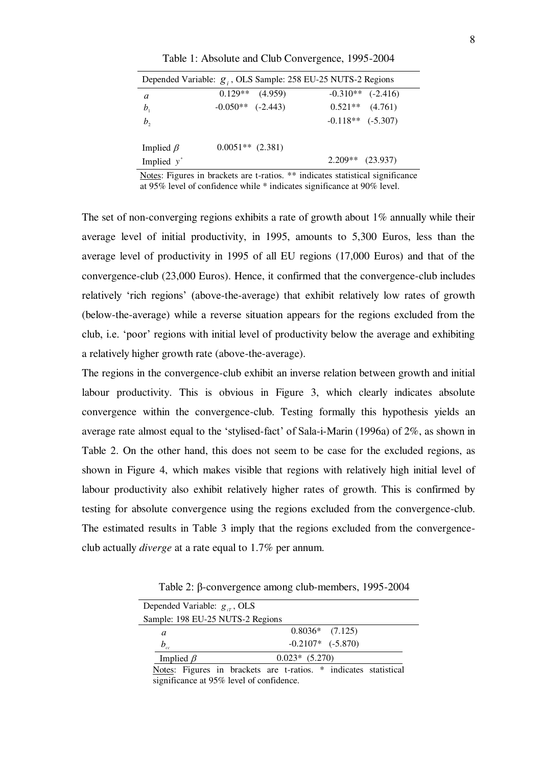|                 | Depended Variable: $g_i$ , OLS Sample: 258 EU-25 NUTS-2 Regions |                       |
|-----------------|-----------------------------------------------------------------|-----------------------|
| a               | $0.129**$ (4.959)                                               | $-0.310**$ $(-2.416)$ |
| $b_{1}$         | $-0.050**$ $(-2.443)$                                           | $0.521**$ (4.761)     |
| b,              |                                                                 | $-0.118**$ (-5.307)   |
|                 |                                                                 |                       |
| Implied $\beta$ | $0.0051**$ (2.381)                                              |                       |
| Implied $y^*$   |                                                                 | $2.209**$ (23.937)    |

Table 1: Absolute and Club Convergence, 1995-2004

Notes: Figures in brackets are t-ratios. \*\* indicates statistical significance at 95% level of confidence while \* indicates significance at 90% level.

The set of non-converging regions exhibits a rate of growth about 1% annually while their average level of initial productivity, in 1995, amounts to 5,300 Euros, less than the average level of productivity in 1995 of all EU regions (17,000 Euros) and that of the convergence-club (23,000 Euros). Hence, it confirmed that the convergence-club includes relatively "rich regions" (above-the-average) that exhibit relatively low rates of growth (below-the-average) while a reverse situation appears for the regions excluded from the club, i.e. "poor" regions with initial level of productivity below the average and exhibiting a relatively higher growth rate (above-the-average).

The regions in the convergence-club exhibit an inverse relation between growth and initial labour productivity. This is obvious in Figure 3, which clearly indicates absolute convergence within the convergence-club. Testing formally this hypothesis yields an average rate almost equal to the "stylised-fact" of Sala-i-Marin (1996a) of 2%, as shown in Table 2. On the other hand, this does not seem to be case for the excluded regions, as shown in Figure 4, which makes visible that regions with relatively high initial level of labour productivity also exhibit relatively higher rates of growth. This is confirmed by testing for absolute convergence using the regions excluded from the convergence-club. The estimated results in Table 3 imply that the regions excluded from the convergenceclub actually *diverge* at a rate equal to 1.7% per annum.

Table 2: β-convergence among club-members, 1995-2004

| Depended Variable: $g_{ir}$ , OLS |                       |  |
|-----------------------------------|-----------------------|--|
| Sample: 198 EU-25 NUTS-2 Regions  |                       |  |
| a                                 | $0.8036*$ (7.125)     |  |
| b                                 | $-0.2107*$ $(-5.870)$ |  |
| Implied $\beta$                   | $0.023*$ (5.270)      |  |

Notes: Figures in brackets are t-ratios. \* indicates statistical significance at 95% level of confidence.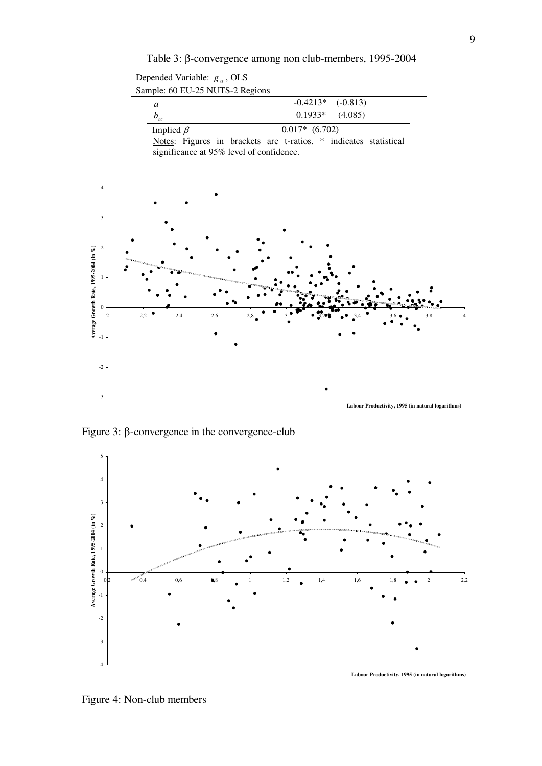Table 3: β-convergence among non club-members, 1995-2004

| Depended Variable: $g_{ir}$ , OLS |                       |
|-----------------------------------|-----------------------|
| Sample: 60 EU-25 NUTS-2 Regions   |                       |
| a                                 | $-0.4213*$ $(-0.813)$ |
| nc                                | $0.1933*$ (4.085)     |
| Implied $\beta$                   | $0.017*$ (6.702)      |
|                                   |                       |





Figure 3:  $\beta$ -convergence in the convergence-club



Figure 4: Non-club members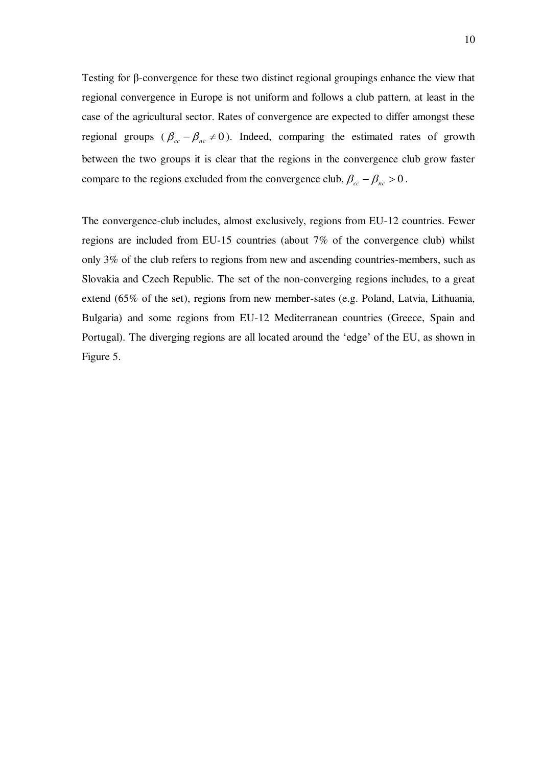Testing for β-convergence for these two distinct regional groupings enhance the view that regional convergence in Europe is not uniform and follows a club pattern, at least in the case of the agricultural sector. Rates of convergence are expected to differ amongst these regional groups ( $\beta_{cc} - \beta_{nc} \neq 0$ ). Indeed, comparing the estimated rates of growth between the two groups it is clear that the regions in the convergence club grow faster compare to the regions excluded from the convergence club,  $\beta_{cc} - \beta_{nc} > 0$ .

The convergence-club includes, almost exclusively, regions from EU-12 countries. Fewer regions are included from EU-15 countries (about 7% of the convergence club) whilst only 3% of the club refers to regions from new and ascending countries-members, such as Slovakia and Czech Republic. The set of the non-converging regions includes, to a great extend (65% of the set), regions from new member-sates (e.g. Poland, Latvia, Lithuania, Bulgaria) and some regions from EU-12 Mediterranean countries (Greece, Spain and Portugal). The diverging regions are all located around the "edge" of the EU, as shown in Figure 5.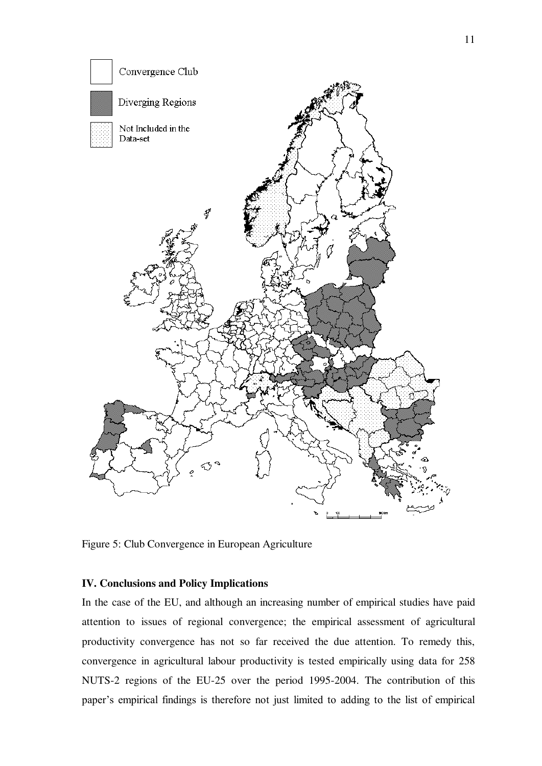

Figure 5: Club Convergence in European Agriculture

## **IV. Conclusions and Policy Implications**

In the case of the EU, and although an increasing number of empirical studies have paid attention to issues of regional convergence; the empirical assessment of agricultural productivity convergence has not so far received the due attention. To remedy this, convergence in agricultural labour productivity is tested empirically using data for 258 NUTS-2 regions of the EU-25 over the period 1995-2004. The contribution of this paper"s empirical findings is therefore not just limited to adding to the list of empirical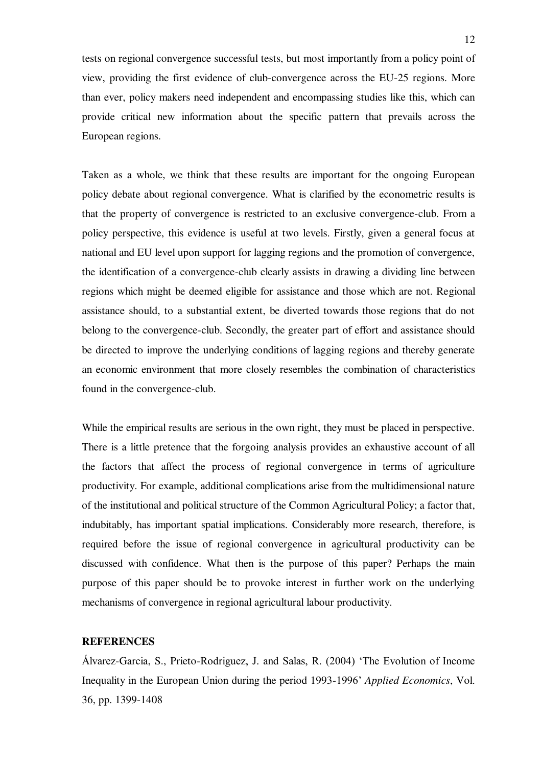tests on regional convergence successful tests, but most importantly from a policy point of view, providing the first evidence of club-convergence across the EU-25 regions. More than ever, policy makers need independent and encompassing studies like this, which can provide critical new information about the specific pattern that prevails across the European regions.

Taken as a whole, we think that these results are important for the ongoing European policy debate about regional convergence. What is clarified by the econometric results is that the property of convergence is restricted to an exclusive convergence-club. From a policy perspective, this evidence is useful at two levels. Firstly, given a general focus at national and EU level upon support for lagging regions and the promotion of convergence, the identification of a convergence-club clearly assists in drawing a dividing line between regions which might be deemed eligible for assistance and those which are not. Regional assistance should, to a substantial extent, be diverted towards those regions that do not belong to the convergence-club. Secondly, the greater part of effort and assistance should be directed to improve the underlying conditions of lagging regions and thereby generate an economic environment that more closely resembles the combination of characteristics found in the convergence-club.

While the empirical results are serious in the own right, they must be placed in perspective. There is a little pretence that the forgoing analysis provides an exhaustive account of all the factors that affect the process of regional convergence in terms of agriculture productivity. For example, additional complications arise from the multidimensional nature of the institutional and political structure of the Common Agricultural Policy; a factor that, indubitably, has important spatial implications. Considerably more research, therefore, is required before the issue of regional convergence in agricultural productivity can be discussed with confidence. What then is the purpose of this paper? Perhaps the main purpose of this paper should be to provoke interest in further work on the underlying mechanisms of convergence in regional agricultural labour productivity.

## **REFERENCES**

Álvarez-Garcia, S., Prieto-Rodriguez, J. and Salas, R. (2004) "The Evolution of Income Inequality in the European Union during the period 1993-1996" *Applied Economics*, Vol. 36, pp. 1399-1408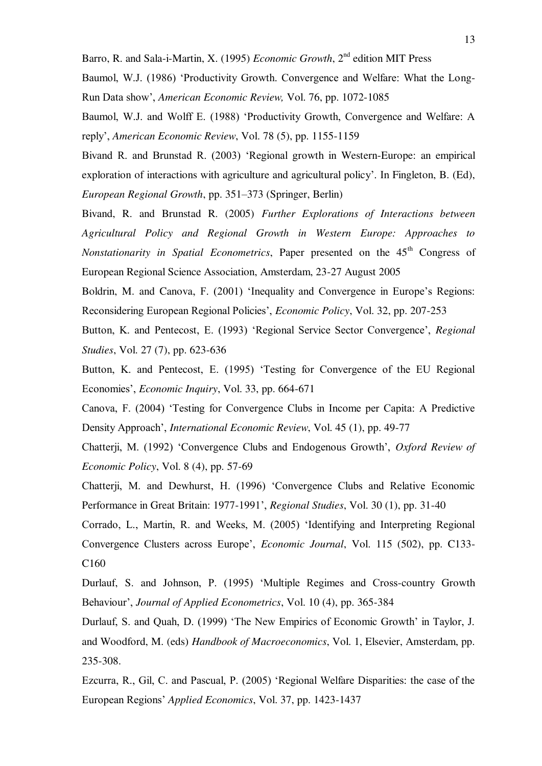Barro, R. and Sala-i-Martin, X. (1995) *Economic Growth*, 2<sup>nd</sup> edition MIT Press

Baumol, W.J. (1986) "Productivity Growth. Convergence and Welfare: What the Long-Run Data show", *American Economic Review,* Vol. 76, pp. 1072-1085

Baumol, W.J. and Wolff E. (1988) "Productivity Growth, Convergence and Welfare: A reply", *American Economic Review*, Vol. 78 (5), pp. 1155-1159

Bivand R. and Brunstad R. (2003) "Regional growth in Western-Europe: an empirical exploration of interactions with agriculture and agricultural policy". In Fingleton, B. (Ed), *European Regional Growth*, pp. 351–373 (Springer, Berlin)

Bivand, R. and Brunstad R. (2005) *Further Explorations of Interactions between Agricultural Policy and Regional Growth in Western Europe: Approaches to Nonstationarity in Spatial Econometrics*, Paper presented on the 45<sup>th</sup> Congress of European Regional Science Association, Amsterdam, 23-27 August 2005

Boldrin, M. and Canova, F. (2001) 'Inequality and Convergence in Europe's Regions: Reconsidering European Regional Policies", *Economic Policy*, Vol. 32, pp. 207-253

Button, K. and Pentecost, E. (1993) "Regional Service Sector Convergence", *Regional Studies*, Vol. 27 (7), pp. 623-636

Button, K. and Pentecost, E. (1995) "Testing for Convergence of the EU Regional Economies", *Economic Inquiry*, Vol. 33, pp. 664-671

Canova, F. (2004) "Testing for Convergence Clubs in Income per Capita: A Predictive Density Approach", *International Economic Review*, Vol. 45 (1), pp. 49-77

Chatterji, M. (1992) "Convergence Clubs and Endogenous Growth", *Oxford Review of Economic Policy*, Vol. 8 (4), pp. 57-69

Chatterji, M. and Dewhurst, H. (1996) "Convergence Clubs and Relative Economic Performance in Great Britain: 1977-1991", *Regional Studies*, Vol. 30 (1), pp. 31-40

Corrado, L., Martin, R. and Weeks, M. (2005) "Identifying and Interpreting Regional Convergence Clusters across Europe", *Economic Journal*, Vol. 115 (502), pp. C133- C160

Durlauf, S. and Johnson, P. (1995) "Multiple Regimes and Cross-country Growth Behaviour", *Journal of Applied Econometrics*, Vol. 10 (4), pp. 365-384

Durlauf, S. and Quah, D. (1999) "The New Empirics of Economic Growth" in Taylor, J. and Woodford, M. (eds) *Handbook of Macroeconomics*, Vol. 1, Elsevier, Amsterdam, pp. 235-308.

Ezcurra, R., Gil, C. and Pascual, P. (2005) "Regional Welfare Disparities: the case of the European Regions" *Applied Economics*, Vol. 37, pp. 1423-1437